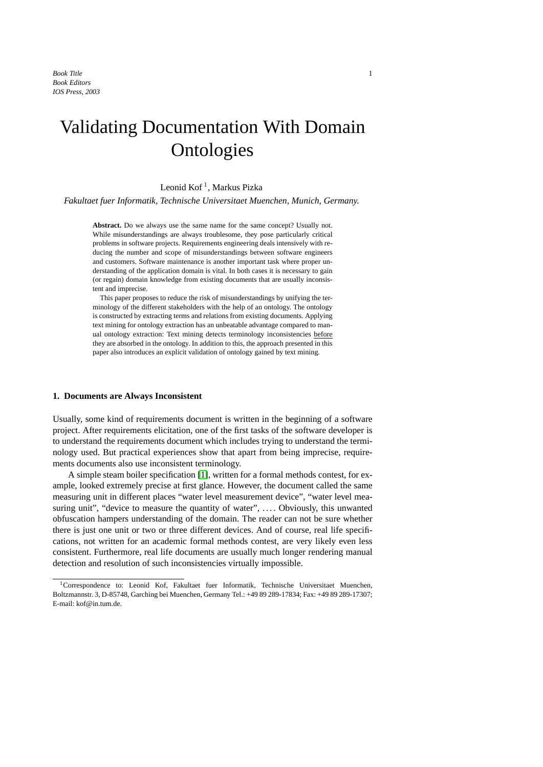*Book Title Book Editors IOS Press, 2003*

# Validating Documentation With Domain Ontologies

# Leonid Kof<sup>1</sup>, Markus Pizka

*Fakultaet fuer Informatik, Technische Universitaet Muenchen, Munich, Germany.*

**Abstract.** Do we always use the same name for the same concept? Usually not. While misunderstandings are always troublesome, they pose particularly critical problems in software projects. Requirements engineering deals intensively with reducing the number and scope of misunderstandings between software engineers and customers. Software maintenance is another important task where proper understanding of the application domain is vital. In both cases it is necessary to gain (or regain) domain knowledge from existing documents that are usually inconsistent and imprecise.

This paper proposes to reduce the risk of misunderstandings by unifying the terminology of the different stakeholders with the help of an ontology. The ontology is constructed by extracting terms and relations from existing documents. Applying text mining for ontology extraction has an unbeatable advantage compared to manual ontology extraction: Text mining detects terminology inconsistencies before they are absorbed in the ontology. In addition to this, the approach presented in this paper also introduces an explicit validation of ontology gained by text mining.

#### **1. Documents are Always Inconsistent**

Usually, some kind of requirements document is written in the beginning of a software project. After requirements elicitation, one of the first tasks of the software developer is to understand the requirements document which includes trying to understand the terminology used. But practical experiences show that apart from being imprecise, requirements documents also use inconsistent terminology.

A simple steam boiler specification [\[1\]](#page-15-0), written for a formal methods contest, for example, looked extremely precise at first glance. However, the document called the same measuring unit in different places "water level measurement device", "water level measuring unit", "device to measure the quantity of water", .... Obviously, this unwanted obfuscation hampers understanding of the domain. The reader can not be sure whether there is just one unit or two or three different devices. And of course, real life specifications, not written for an academic formal methods contest, are very likely even less consistent. Furthermore, real life documents are usually much longer rendering manual detection and resolution of such inconsistencies virtually impossible.

<sup>&</sup>lt;sup>1</sup>Correspondence to: Leonid Kof, Fakultaet fuer Informatik, Technische Universitaet Muenchen, Boltzmannstr. 3, D-85748, Garching bei Muenchen, Germany Tel.: +49 89 289-17834; Fax: +49 89 289-17307; E-mail: kof@in.tum.de.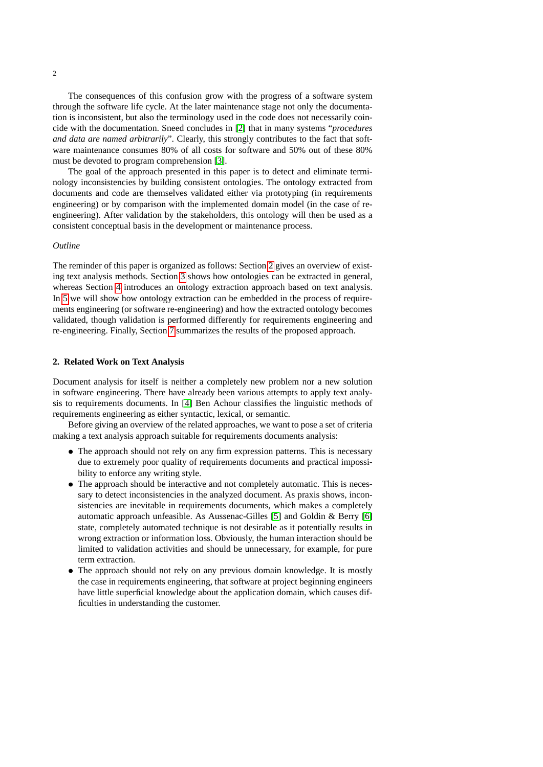The consequences of this confusion grow with the progress of a software system through the software life cycle. At the later maintenance stage not only the documentation is inconsistent, but also the terminology used in the code does not necessarily coincide with the documentation. Sneed concludes in [\[2\]](#page-16-0) that in many systems "*procedures and data are named arbitrarily*". Clearly, this strongly contributes to the fact that software maintenance consumes 80% of all costs for software and 50% out of these 80% must be devoted to program comprehension [\[3\]](#page-16-1).

The goal of the approach presented in this paper is to detect and eliminate terminology inconsistencies by building consistent ontologies. The ontology extracted from documents and code are themselves validated either via prototyping (in requirements engineering) or by comparison with the implemented domain model (in the case of reengineering). After validation by the stakeholders, this ontology will then be used as a consistent conceptual basis in the development or maintenance process.

### *Outline*

The reminder of this paper is organized as follows: Section [2](#page-1-0) gives an overview of existing text analysis methods. Section [3](#page-3-0) shows how ontologies can be extracted in general, whereas Section [4](#page-4-0) introduces an ontology extraction approach based on text analysis. In [5](#page-6-0) we will show how ontology extraction can be embedded in the process of requirements engineering (or software re-engineering) and how the extracted ontology becomes validated, though validation is performed differently for requirements engineering and re-engineering. Finally, Section [7](#page-15-1) summarizes the results of the proposed approach.

#### <span id="page-1-0"></span>**2. Related Work on Text Analysis**

Document analysis for itself is neither a completely new problem nor a new solution in software engineering. There have already been various attempts to apply text analysis to requirements documents. In [\[4\]](#page-16-2) Ben Achour classifies the linguistic methods of requirements engineering as either syntactic, lexical, or semantic.

Before giving an overview of the related approaches, we want to pose a set of criteria making a text analysis approach suitable for requirements documents analysis:

- The approach should not rely on any firm expression patterns. This is necessary due to extremely poor quality of requirements documents and practical impossibility to enforce any writing style.
- The approach should be interactive and not completely automatic. This is necessary to detect inconsistencies in the analyzed document. As praxis shows, inconsistencies are inevitable in requirements documents, which makes a completely automatic approach unfeasible. As Aussenac-Gilles [\[5\]](#page-16-3) and Goldin & Berry [\[6\]](#page-16-4) state, completely automated technique is not desirable as it potentially results in wrong extraction or information loss. Obviously, the human interaction should be limited to validation activities and should be unnecessary, for example, for pure term extraction.
- The approach should not rely on any previous domain knowledge. It is mostly the case in requirements engineering, that software at project beginning engineers have little superficial knowledge about the application domain, which causes difficulties in understanding the customer.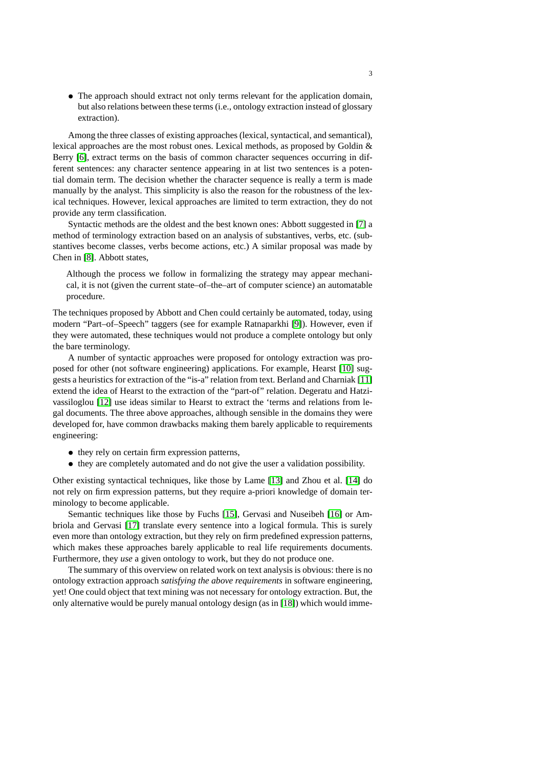• The approach should extract not only terms relevant for the application domain, but also relations between these terms (i.e., ontology extraction instead of glossary extraction).

Among the three classes of existing approaches (lexical, syntactical, and semantical), lexical approaches are the most robust ones. Lexical methods, as proposed by Goldin & Berry [\[6\]](#page-16-4), extract terms on the basis of common character sequences occurring in different sentences: any character sentence appearing in at list two sentences is a potential domain term. The decision whether the character sequence is really a term is made manually by the analyst. This simplicity is also the reason for the robustness of the lexical techniques. However, lexical approaches are limited to term extraction, they do not provide any term classification.

Syntactic methods are the oldest and the best known ones: Abbott suggested in [\[7\]](#page-16-5) a method of terminology extraction based on an analysis of substantives, verbs, etc. (substantives become classes, verbs become actions, etc.) A similar proposal was made by Chen in [\[8\]](#page-16-6). Abbott states,

Although the process we follow in formalizing the strategy may appear mechanical, it is not (given the current state–of–the–art of computer science) an automatable procedure.

The techniques proposed by Abbott and Chen could certainly be automated, today, using modern "Part–of–Speech" taggers (see for example Ratnaparkhi [\[9\]](#page-16-7)). However, even if they were automated, these techniques would not produce a complete ontology but only the bare terminology.

A number of syntactic approaches were proposed for ontology extraction was proposed for other (not software engineering) applications. For example, Hearst [\[10\]](#page-16-8) suggests a heuristics for extraction of the "is-a" relation from text. Berland and Charniak [\[11\]](#page-16-9) extend the idea of Hearst to the extraction of the "part-of" relation. Degeratu and Hatzivassiloglou [\[12\]](#page-16-10) use ideas similar to Hearst to extract the 'terms and relations from legal documents. The three above approaches, although sensible in the domains they were developed for, have common drawbacks making them barely applicable to requirements engineering:

- they rely on certain firm expression patterns,
- they are completely automated and do not give the user a validation possibility.

Other existing syntactical techniques, like those by Lame [\[13\]](#page-16-11) and Zhou et al. [\[14\]](#page-16-12) do not rely on firm expression patterns, but they require a-priori knowledge of domain terminology to become applicable.

Semantic techniques like those by Fuchs [\[15\]](#page-16-13), Gervasi and Nuseibeh [\[16\]](#page-16-14) or Ambriola and Gervasi [\[17\]](#page-16-15) translate every sentence into a logical formula. This is surely even more than ontology extraction, but they rely on firm predefined expression patterns, which makes these approaches barely applicable to real life requirements documents. Furthermore, they *use* a given ontology to work, but they do not produce one.

The summary of this overview on related work on text analysis is obvious: there is no ontology extraction approach *satisfying the above requirements* in software engineering, yet! One could object that text mining was not necessary for ontology extraction. But, the only alternative would be purely manual ontology design (as in [\[18\]](#page-16-16)) which would imme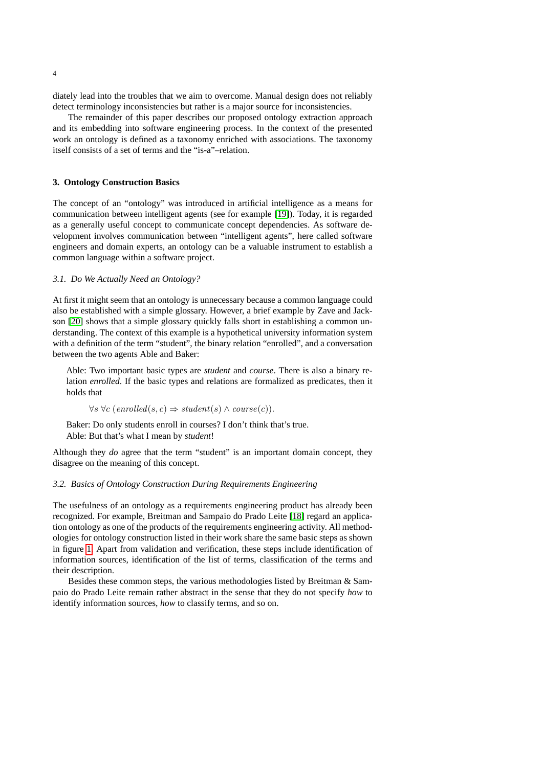diately lead into the troubles that we aim to overcome. Manual design does not reliably detect terminology inconsistencies but rather is a major source for inconsistencies.

The remainder of this paper describes our proposed ontology extraction approach and its embedding into software engineering process. In the context of the presented work an ontology is defined as a taxonomy enriched with associations. The taxonomy itself consists of a set of terms and the "is-a"–relation.

## <span id="page-3-0"></span>**3. Ontology Construction Basics**

The concept of an "ontology" was introduced in artificial intelligence as a means for communication between intelligent agents (see for example [\[19\]](#page-16-17)). Today, it is regarded as a generally useful concept to communicate concept dependencies. As software development involves communication between "intelligent agents", here called software engineers and domain experts, an ontology can be a valuable instrument to establish a common language within a software project.

# *3.1. Do We Actually Need an Ontology?*

At first it might seem that an ontology is unnecessary because a common language could also be established with a simple glossary. However, a brief example by Zave and Jackson [\[20\]](#page-16-18) shows that a simple glossary quickly falls short in establishing a common understanding. The context of this example is a hypothetical university information system with a definition of the term "student", the binary relation "enrolled", and a conversation between the two agents Able and Baker:

Able: Two important basic types are *student* and *course*. There is also a binary relation *enrolled*. If the basic types and relations are formalized as predicates, then it holds that

 $\forall s \forall c \ (enrolled(s, c) \Rightarrow student(s) \land course(c)).$ 

Baker: Do only students enroll in courses? I don't think that's true. Able: But that's what I mean by *student*!

Although they *do* agree that the term "student" is an important domain concept, they disagree on the meaning of this concept.

# *3.2. Basics of Ontology Construction During Requirements Engineering*

The usefulness of an ontology as a requirements engineering product has already been recognized. For example, Breitman and Sampaio do Prado Leite [\[18\]](#page-16-16) regard an application ontology as one of the products of the requirements engineering activity. All methodologies for ontology construction listed in their work share the same basic steps as shown in figure [1.](#page-4-1) Apart from validation and verification, these steps include identification of information sources, identification of the list of terms, classification of the terms and their description.

Besides these common steps, the various methodologies listed by Breitman & Sampaio do Prado Leite remain rather abstract in the sense that they do not specify *how* to identify information sources, *how* to classify terms, and so on.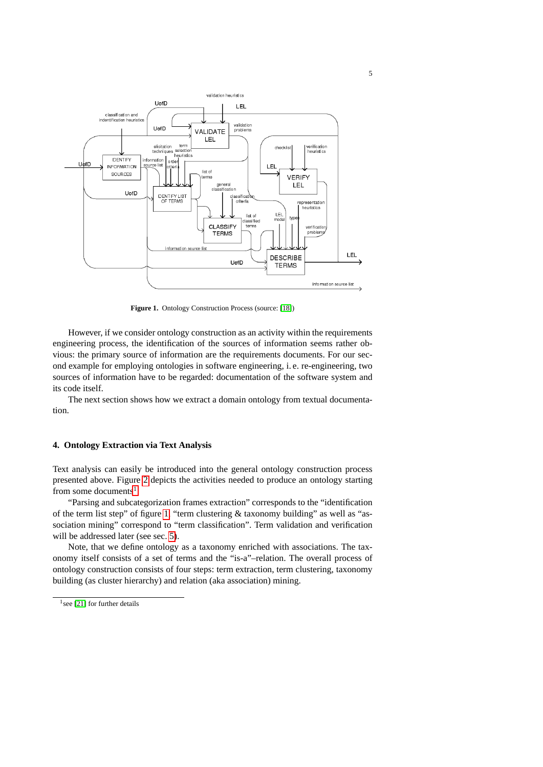

<span id="page-4-1"></span>Figure 1. Ontology Construction Process (source: [\[18\]](#page-16-16))

However, if we consider ontology construction as an activity within the requirements engineering process, the identification of the sources of information seems rather obvious: the primary source of information are the requirements documents. For our second example for employing ontologies in software engineering, i. e. re-engineering, two sources of information have to be regarded: documentation of the software system and its code itself.

The next section shows how we extract a domain ontology from textual documentation.

# <span id="page-4-0"></span>**4. Ontology Extraction via Text Analysis**

Text analysis can easily be introduced into the general ontology construction process presented above. Figure [2](#page-5-0) depicts the activities needed to produce an ontology starting from some documents<sup>[1](#page-4-2)</sup>.

"Parsing and subcategorization frames extraction" corresponds to the "identification of the term list step" of figure [1,](#page-4-1) "term clustering  $&$  taxonomy building" as well as "association mining" correspond to "term classification". Term validation and verification will be addressed later (see sec. [5\)](#page-6-0).

Note, that we define ontology as a taxonomy enriched with associations. The taxonomy itself consists of a set of terms and the "is-a"–relation. The overall process of ontology construction consists of four steps: term extraction, term clustering, taxonomy building (as cluster hierarchy) and relation (aka association) mining.

<span id="page-4-2"></span><sup>&</sup>lt;sup>1</sup> see [\[21\]](#page-16-19) for further details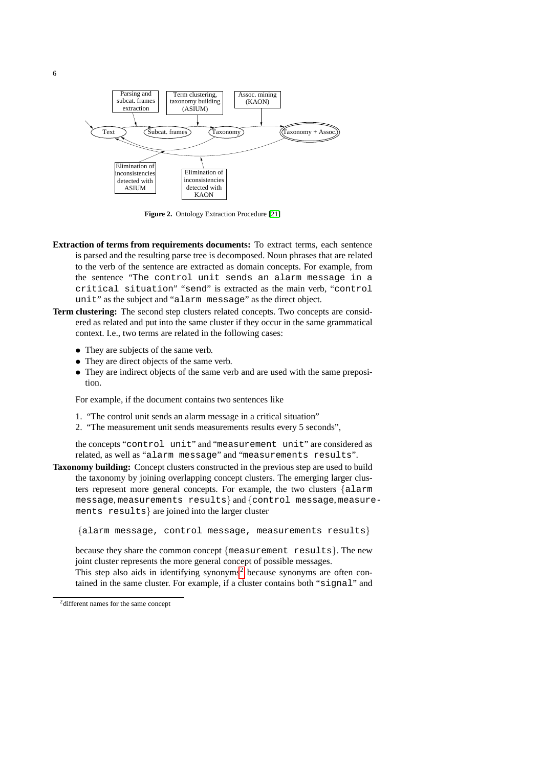

<span id="page-5-0"></span>**Figure 2.** Ontology Extraction Procedure [\[21\]](#page-16-19)

- **Extraction of terms from requirements documents:** To extract terms, each sentence is parsed and the resulting parse tree is decomposed. Noun phrases that are related to the verb of the sentence are extracted as domain concepts. For example, from the sentence "The control unit sends an alarm message in a critical situation" "send" is extracted as the main verb, "control unit" as the subject and "alarm message" as the direct object.
- **Term clustering:** The second step clusters related concepts. Two concepts are considered as related and put into the same cluster if they occur in the same grammatical context. I.e., two terms are related in the following cases:
	- They are subjects of the same verb.
	- They are direct objects of the same verb.
	- They are indirect objects of the same verb and are used with the same preposition.

For example, if the document contains two sentences like

- 1. "The control unit sends an alarm message in a critical situation"
- 2. "The measurement unit sends measurements results every 5 seconds",

the concepts "control unit" and "measurement unit" are considered as related, as well as "alarm message" and "measurements results".

**Taxonomy building:** Concept clusters constructed in the previous step are used to build the taxonomy by joining overlapping concept clusters. The emerging larger clusters represent more general concepts. For example, the two clusters {alarm message, measurements results} and {control message, measurements results} are joined into the larger cluster

{alarm message, control message, measurements results}

because they share the common concept {measurement results}. The new joint cluster represents the more general concept of possible messages. This step also aids in identifying synonyms<sup>[2](#page-5-1)</sup> because synonyms are often contained in the same cluster. For example, if a cluster contains both "signal" and

<span id="page-5-1"></span><sup>2</sup>different names for the same concept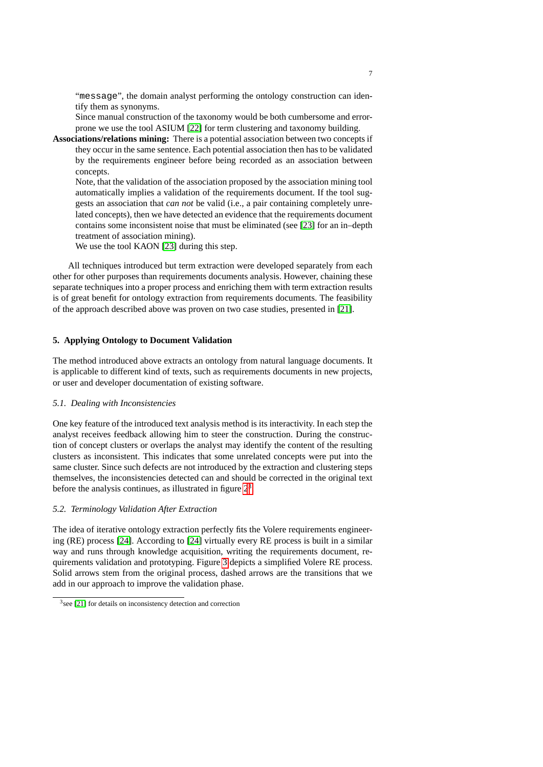"message", the domain analyst performing the ontology construction can identify them as synonyms.

Since manual construction of the taxonomy would be both cumbersome and errorprone we use the tool ASIUM [\[22\]](#page-16-20) for term clustering and taxonomy building.

**Associations/relations mining:** There is a potential association between two concepts if they occur in the same sentence. Each potential association then has to be validated by the requirements engineer before being recorded as an association between concepts.

Note, that the validation of the association proposed by the association mining tool automatically implies a validation of the requirements document. If the tool suggests an association that *can not* be valid (i.e., a pair containing completely unrelated concepts), then we have detected an evidence that the requirements document contains some inconsistent noise that must be eliminated (see [\[23\]](#page-17-0) for an in–depth treatment of association mining).

We use the tool KAON [\[23\]](#page-17-0) during this step.

All techniques introduced but term extraction were developed separately from each other for other purposes than requirements documents analysis. However, chaining these separate techniques into a proper process and enriching them with term extraction results is of great benefit for ontology extraction from requirements documents. The feasibility of the approach described above was proven on two case studies, presented in [\[21\]](#page-16-19).

## <span id="page-6-0"></span>**5. Applying Ontology to Document Validation**

The method introduced above extracts an ontology from natural language documents. It is applicable to different kind of texts, such as requirements documents in new projects, or user and developer documentation of existing software.

## *5.1. Dealing with Inconsistencies*

One key feature of the introduced text analysis method is its interactivity. In each step the analyst receives feedback allowing him to steer the construction. During the construction of concept clusters or overlaps the analyst may identify the content of the resulting clusters as inconsistent. This indicates that some unrelated concepts were put into the same cluster. Since such defects are not introduced by the extraction and clustering steps themselves, the inconsistencies detected can and should be corrected in the original text before the analysis continues, as illustrated in figure  $2<sup>3</sup>$  $2<sup>3</sup>$  $2<sup>3</sup>$ .

## *5.2. Terminology Validation After Extraction*

The idea of iterative ontology extraction perfectly fits the Volere requirements engineering (RE) process [\[24\]](#page-17-1). According to [\[24\]](#page-17-1) virtually every RE process is built in a similar way and runs through knowledge acquisition, writing the requirements document, requirements validation and prototyping. Figure [3](#page-7-0) depicts a simplified Volere RE process. Solid arrows stem from the original process, dashed arrows are the transitions that we add in our approach to improve the validation phase.

<span id="page-6-1"></span><sup>&</sup>lt;sup>3</sup> see [\[21\]](#page-16-19) for details on inconsistency detection and correction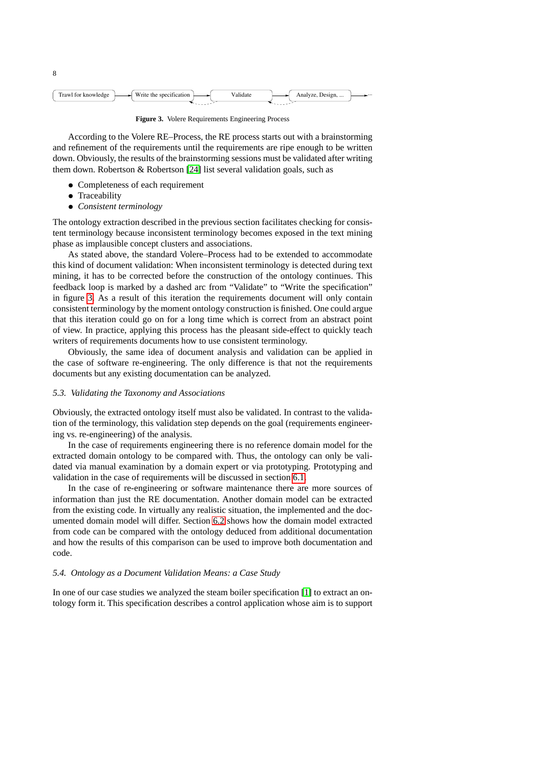

<span id="page-7-0"></span>**Figure 3.** Volere Requirements Engineering Process

According to the Volere RE–Process, the RE process starts out with a brainstorming and refinement of the requirements until the requirements are ripe enough to be written down. Obviously, the results of the brainstorming sessions must be validated after writing them down. Robertson & Robertson [\[24\]](#page-17-1) list several validation goals, such as

- Completeness of each requirement
- Traceability

8

• *Consistent terminology*

The ontology extraction described in the previous section facilitates checking for consistent terminology because inconsistent terminology becomes exposed in the text mining phase as implausible concept clusters and associations.

As stated above, the standard Volere–Process had to be extended to accommodate this kind of document validation: When inconsistent terminology is detected during text mining, it has to be corrected before the construction of the ontology continues. This feedback loop is marked by a dashed arc from "Validate" to "Write the specification" in figure [3.](#page-7-0) As a result of this iteration the requirements document will only contain consistent terminology by the moment ontology construction is finished. One could argue that this iteration could go on for a long time which is correct from an abstract point of view. In practice, applying this process has the pleasant side-effect to quickly teach writers of requirements documents how to use consistent terminology.

Obviously, the same idea of document analysis and validation can be applied in the case of software re-engineering. The only difference is that not the requirements documents but any existing documentation can be analyzed.

### *5.3. Validating the Taxonomy and Associations*

Obviously, the extracted ontology itself must also be validated. In contrast to the validation of the terminology, this validation step depends on the goal (requirements engineering vs. re-engineering) of the analysis.

In the case of requirements engineering there is no reference domain model for the extracted domain ontology to be compared with. Thus, the ontology can only be validated via manual examination by a domain expert or via prototyping. Prototyping and validation in the case of requirements will be discussed in section [6.1.](#page-11-0)

In the case of re-engineering or software maintenance there are more sources of information than just the RE documentation. Another domain model can be extracted from the existing code. In virtually any realistic situation, the implemented and the documented domain model will differ. Section [6.2](#page-13-0) shows how the domain model extracted from code can be compared with the ontology deduced from additional documentation and how the results of this comparison can be used to improve both documentation and code.

## *5.4. Ontology as a Document Validation Means: a Case Study*

In one of our case studies we analyzed the steam boiler specification [\[1\]](#page-15-0) to extract an ontology form it. This specification describes a control application whose aim is to support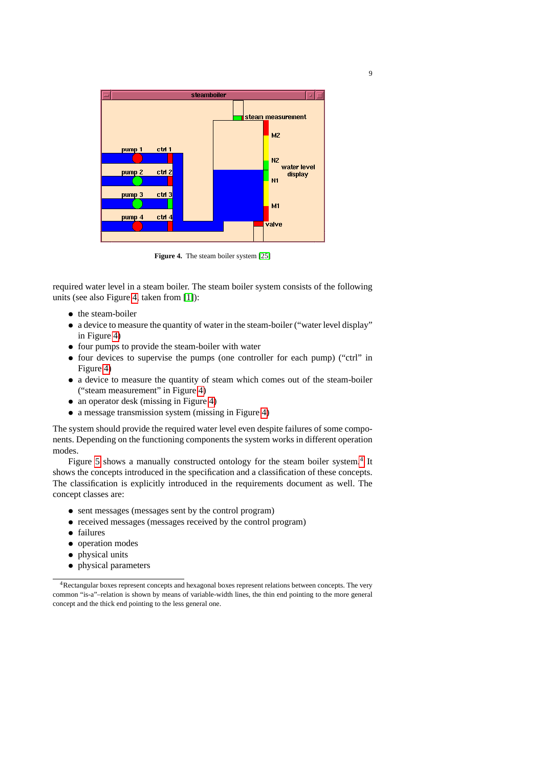| steamboiler       |        |  |                        |  |
|-------------------|--------|--|------------------------|--|
|                   |        |  | steam measurement      |  |
|                   |        |  | M <sub>2</sub>         |  |
| pump 1            | ctrl 1 |  |                        |  |
|                   |        |  | N <sub>2</sub>         |  |
| pump <sub>2</sub> | ctrl 2 |  | water level<br>display |  |
|                   |        |  | N <sub>1</sub>         |  |
| pump 3            | ctrl 3 |  |                        |  |
|                   |        |  | M1                     |  |
| pump 4            | ctrl 4 |  |                        |  |
|                   |        |  | valve                  |  |
|                   |        |  |                        |  |

<span id="page-8-0"></span>**Figure 4.** The steam boiler system [\[25\]](#page-17-2)

required water level in a steam boiler. The steam boiler system consists of the following units (see also Figure [4,](#page-8-0) taken from [\[1\]](#page-15-0)):

- the steam-boiler
- a device to measure the quantity of water in the steam-boiler ("water level display" in Figure [4\)](#page-8-0)
- four pumps to provide the steam-boiler with water
- four devices to supervise the pumps (one controller for each pump) ("ctrl" in Figure [4\)](#page-8-0)
- a device to measure the quantity of steam which comes out of the steam-boiler ("steam measurement" in Figure [4\)](#page-8-0)
- an operator desk (missing in Figure [4\)](#page-8-0)
- a message transmission system (missing in Figure [4\)](#page-8-0)

The system should provide the required water level even despite failures of some components. Depending on the functioning components the system works in different operation modes.

Figure [5](#page-9-0) shows a manually constructed ontology for the steam boiler system.<sup>[4](#page-8-1)</sup> It shows the concepts introduced in the specification and a classification of these concepts. The classification is explicitly introduced in the requirements document as well. The concept classes are:

- sent messages (messages sent by the control program)
- received messages (messages received by the control program)
- failures
- operation modes
- physical units
- physical parameters

<span id="page-8-1"></span><sup>4</sup>Rectangular boxes represent concepts and hexagonal boxes represent relations between concepts. The very common "is-a"–relation is shown by means of variable-width lines, the thin end pointing to the more general concept and the thick end pointing to the less general one.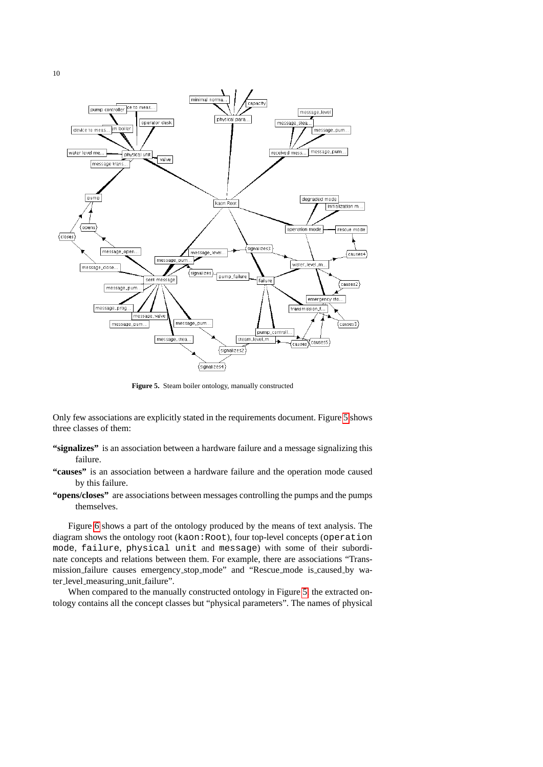

<span id="page-9-0"></span>**Figure 5.** Steam boiler ontology, manually constructed

Only few associations are explicitly stated in the requirements document. Figure [5](#page-9-0) shows three classes of them:

- **"signalizes"** is an association between a hardware failure and a message signalizing this failure.
- **"causes"** is an association between a hardware failure and the operation mode caused by this failure.
- **"opens/closes"** are associations between messages controlling the pumps and the pumps themselves.

Figure [6](#page-10-0) shows a part of the ontology produced by the means of text analysis. The diagram shows the ontology root (kaon:Root), four top-level concepts (operation mode, failure, physical unit and message) with some of their subordinate concepts and relations between them. For example, there are associations "Transmission failure causes emergency stop mode" and "Rescue mode is caused by water level measuring unit failure".

When compared to the manually constructed ontology in Figure [5,](#page-9-0) the extracted ontology contains all the concept classes but "physical parameters". The names of physical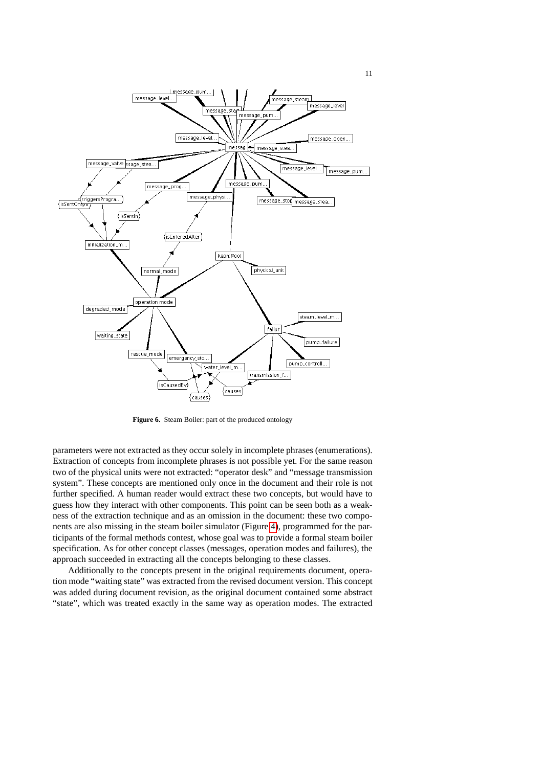

<span id="page-10-0"></span>Figure 6. Steam Boiler: part of the produced ontology

parameters were not extracted as they occur solely in incomplete phrases (enumerations). Extraction of concepts from incomplete phrases is not possible yet. For the same reason two of the physical units were not extracted: "operator desk" and "message transmission system". These concepts are mentioned only once in the document and their role is not further specified. A human reader would extract these two concepts, but would have to guess how they interact with other components. This point can be seen both as a weakness of the extraction technique and as an omission in the document: these two components are also missing in the steam boiler simulator (Figure [4\)](#page-8-0), programmed for the participants of the formal methods contest, whose goal was to provide a formal steam boiler specification. As for other concept classes (messages, operation modes and failures), the approach succeeded in extracting all the concepts belonging to these classes.

Additionally to the concepts present in the original requirements document, operation mode "waiting state" was extracted from the revised document version. This concept was added during document revision, as the original document contained some abstract "state", which was treated exactly in the same way as operation modes. The extracted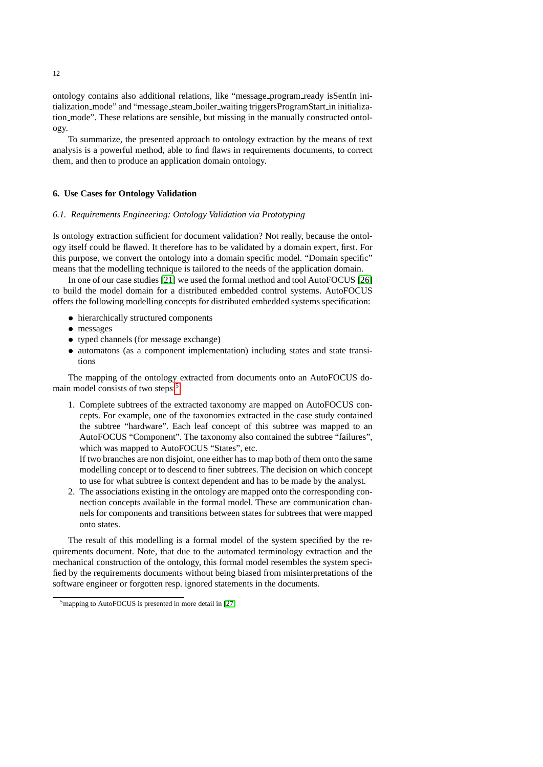ontology contains also additional relations, like "message program ready isSentIn initialization mode" and "message steam boiler waiting triggersProgramStart in initialization mode". These relations are sensible, but missing in the manually constructed ontology.

To summarize, the presented approach to ontology extraction by the means of text analysis is a powerful method, able to find flaws in requirements documents, to correct them, and then to produce an application domain ontology.

## **6. Use Cases for Ontology Validation**

# <span id="page-11-0"></span>*6.1. Requirements Engineering: Ontology Validation via Prototyping*

Is ontology extraction sufficient for document validation? Not really, because the ontology itself could be flawed. It therefore has to be validated by a domain expert, first. For this purpose, we convert the ontology into a domain specific model. "Domain specific" means that the modelling technique is tailored to the needs of the application domain.

In one of our case studies [\[21\]](#page-16-19) we used the formal method and tool AutoFOCUS [\[26\]](#page-17-3) to build the model domain for a distributed embedded control systems. AutoFOCUS offers the following modelling concepts for distributed embedded systems specification:

- hierarchically structured components
- messages
- typed channels (for message exchange)
- automatons (as a component implementation) including states and state transitions

The mapping of the ontology extracted from documents onto an AutoFOCUS do-main model consists of two steps:<sup>[5](#page-11-1)</sup>

1. Complete subtrees of the extracted taxonomy are mapped on AutoFOCUS concepts. For example, one of the taxonomies extracted in the case study contained the subtree "hardware". Each leaf concept of this subtree was mapped to an AutoFOCUS "Component". The taxonomy also contained the subtree "failures", which was mapped to AutoFOCUS "States", etc.

If two branches are non disjoint, one either has to map both of them onto the same modelling concept or to descend to finer subtrees. The decision on which concept to use for what subtree is context dependent and has to be made by the analyst.

2. The associations existing in the ontology are mapped onto the corresponding connection concepts available in the formal model. These are communication channels for components and transitions between states for subtrees that were mapped onto states.

The result of this modelling is a formal model of the system specified by the requirements document. Note, that due to the automated terminology extraction and the mechanical construction of the ontology, this formal model resembles the system specified by the requirements documents without being biased from misinterpretations of the software engineer or forgotten resp. ignored statements in the documents.

12

<span id="page-11-1"></span><sup>&</sup>lt;sup>5</sup>mapping to AutoFOCUS is presented in more detail in [\[27\]](#page-17-4)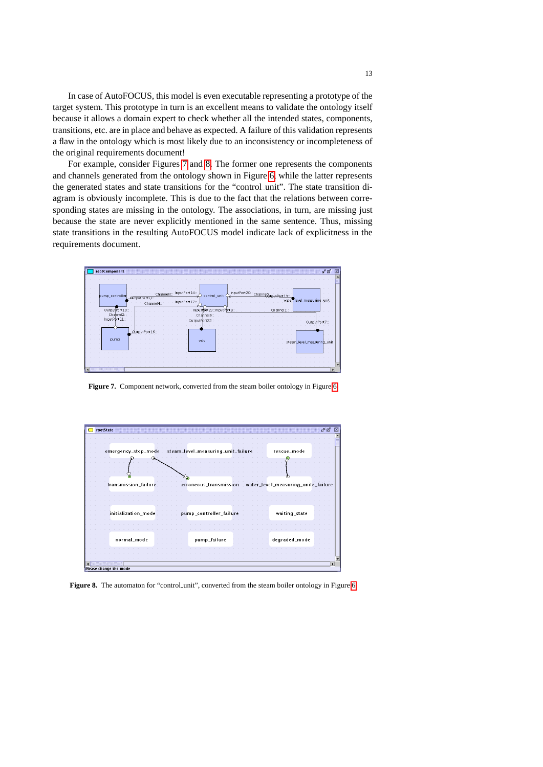In case of AutoFOCUS, this model is even executable representing a prototype of the target system. This prototype in turn is an excellent means to validate the ontology itself because it allows a domain expert to check whether all the intended states, components, transitions, etc. are in place and behave as expected. A failure of this validation represents a flaw in the ontology which is most likely due to an inconsistency or incompleteness of the original requirements document!

For example, consider Figures [7](#page-12-0) and [8.](#page-12-1) The former one represents the components and channels generated from the ontology shown in Figure [6,](#page-10-0) while the latter represents the generated states and state transitions for the "control unit". The state transition diagram is obviously incomplete. This is due to the fact that the relations between corresponding states are missing in the ontology. The associations, in turn, are missing just because the state are never explicitly mentioned in the same sentence. Thus, missing state transitions in the resulting AutoFOCUS model indicate lack of explicitness in the requirements document.



<span id="page-12-0"></span>**Figure 7.** Component network, converted from the steam boiler ontology in Figure [6](#page-10-0)



<span id="page-12-1"></span>Figure 8. The automaton for "control\_unit", converted from the steam boiler ontology in Figure [6](#page-10-0)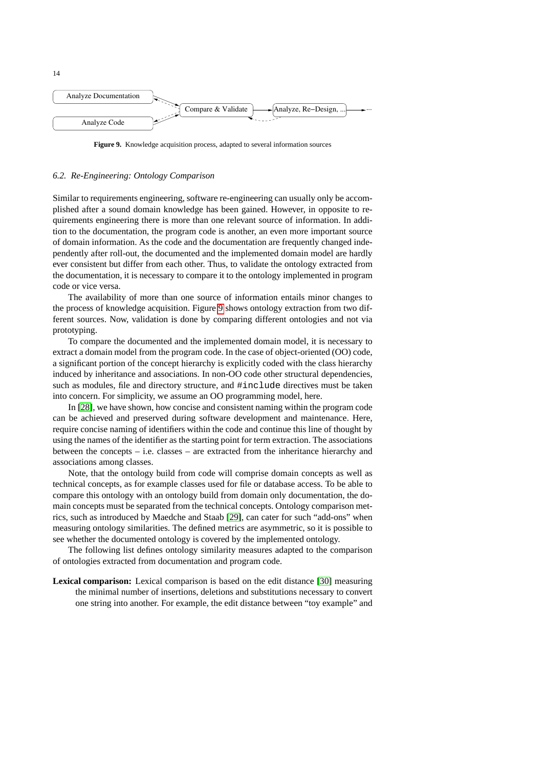

<span id="page-13-1"></span>**Figure 9.** Knowledge acquisition process, adapted to several information sources

#### <span id="page-13-0"></span>*6.2. Re-Engineering: Ontology Comparison*

Similar to requirements engineering, software re-engineering can usually only be accomplished after a sound domain knowledge has been gained. However, in opposite to requirements engineering there is more than one relevant source of information. In addition to the documentation, the program code is another, an even more important source of domain information. As the code and the documentation are frequently changed independently after roll-out, the documented and the implemented domain model are hardly ever consistent but differ from each other. Thus, to validate the ontology extracted from the documentation, it is necessary to compare it to the ontology implemented in program code or vice versa.

The availability of more than one source of information entails minor changes to the process of knowledge acquisition. Figure [9](#page-13-1) shows ontology extraction from two different sources. Now, validation is done by comparing different ontologies and not via prototyping.

To compare the documented and the implemented domain model, it is necessary to extract a domain model from the program code. In the case of object-oriented (OO) code, a significant portion of the concept hierarchy is explicitly coded with the class hierarchy induced by inheritance and associations. In non-OO code other structural dependencies, such as modules, file and directory structure, and #include directives must be taken into concern. For simplicity, we assume an OO programming model, here.

In [\[28\]](#page-17-5), we have shown, how concise and consistent naming within the program code can be achieved and preserved during software development and maintenance. Here, require concise naming of identifiers within the code and continue this line of thought by using the names of the identifier as the starting point for term extraction. The associations between the concepts – i.e. classes – are extracted from the inheritance hierarchy and associations among classes.

Note, that the ontology build from code will comprise domain concepts as well as technical concepts, as for example classes used for file or database access. To be able to compare this ontology with an ontology build from domain only documentation, the domain concepts must be separated from the technical concepts. Ontology comparison metrics, such as introduced by Maedche and Staab [\[29\]](#page-17-6), can cater for such "add-ons" when measuring ontology similarities. The defined metrics are asymmetric, so it is possible to see whether the documented ontology is covered by the implemented ontology.

The following list defines ontology similarity measures adapted to the comparison of ontologies extracted from documentation and program code.

**Lexical comparison:** Lexical comparison is based on the edit distance [\[30\]](#page-17-7) measuring the minimal number of insertions, deletions and substitutions necessary to convert one string into another. For example, the edit distance between "toy example" and

14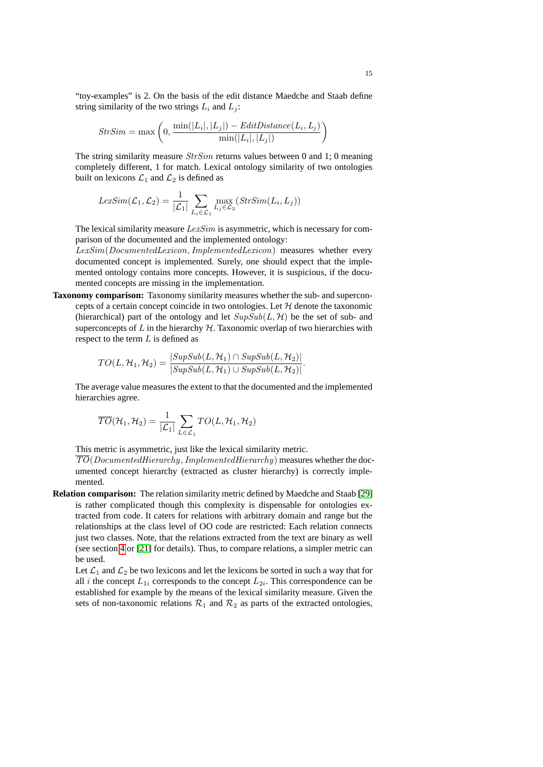"toy-examples" is 2. On the basis of the edit distance Maedche and Staab define string similarity of the two strings  $L_i$  and  $L_j$ :

$$
StrSim = \max\left(0, \frac{\min(|L_i|, |L_j|) - \text{EditDistance}(L_i, L_j)}{\min(|L_i|, |L_j|)}\right)
$$

The string similarity measure *StrSim* returns values between 0 and 1; 0 meaning completely different, 1 for match. Lexical ontology similarity of two ontologies built on lexicons  $\mathcal{L}_1$  and  $\mathcal{L}_2$  is defined as

$$
LexSim(\mathcal{L}_1, \mathcal{L}_2) = \frac{1}{|\mathcal{L}_1|} \sum_{L_i \in \mathcal{L}_1} \max_{L_j \in \mathcal{L}_2} (StrSim(L_i, L_j))
$$

The lexical similarity measure  $LexSim$  is asymmetric, which is necessary for comparison of the documented and the implemented ontology:

LexSim(DocumentedLexicon, ImplementedLexicon) measures whether every documented concept is implemented. Surely, one should expect that the implemented ontology contains more concepts. However, it is suspicious, if the documented concepts are missing in the implementation.

**Taxonomy comparison:** Taxonomy similarity measures whether the sub- and superconcepts of a certain concept coincide in two ontologies. Let  $H$  denote the taxonomic (hierarchical) part of the ontology and let  $SupSub(L, \mathcal{H})$  be the set of sub- and superconcepts of  $L$  in the hierarchy  $H$ . Taxonomic overlap of two hierarchies with respect to the term L is defined as

$$
TO(L, \mathcal{H}_1, \mathcal{H}_2) = \frac{|SupSub(L, \mathcal{H}_1) \cap SupSub(L, \mathcal{H}_2)|}{|SupSub(L, \mathcal{H}_1) \cup SupSub(L, \mathcal{H}_2)|}.
$$

The average value measures the extent to that the documented and the implemented hierarchies agree.

$$
\overline{TO}(\mathcal{H}_1, \mathcal{H}_2) = \frac{1}{|\mathcal{L}_1|} \sum_{L \in \mathcal{L}_1} TO(L, \mathcal{H}_1, \mathcal{H}_2)
$$

This metric is asymmetric, just like the lexical similarity metric.

 $\overline{TO}(DocumentedHierarchy, ImplementedHierarchy)$  measures whether the documented concept hierarchy (extracted as cluster hierarchy) is correctly implemented.

**Relation comparison:** The relation similarity metric defined by Maedche and Staab [\[29\]](#page-17-6) is rather complicated though this complexity is dispensable for ontologies extracted from code. It caters for relations with arbitrary domain and range but the relationships at the class level of OO code are restricted: Each relation connects just two classes. Note, that the relations extracted from the text are binary as well (see section [4](#page-4-0) or [\[21\]](#page-16-19) for details). Thus, to compare relations, a simpler metric can be used.

Let  $\mathcal{L}_1$  and  $\mathcal{L}_2$  be two lexicons and let the lexicons be sorted in such a way that for all *i* the concept  $L_{1i}$  corresponds to the concept  $L_{2i}$ . This correspondence can be established for example by the means of the lexical similarity measure. Given the sets of non-taxonomic relations  $\mathcal{R}_1$  and  $\mathcal{R}_2$  as parts of the extracted ontologies,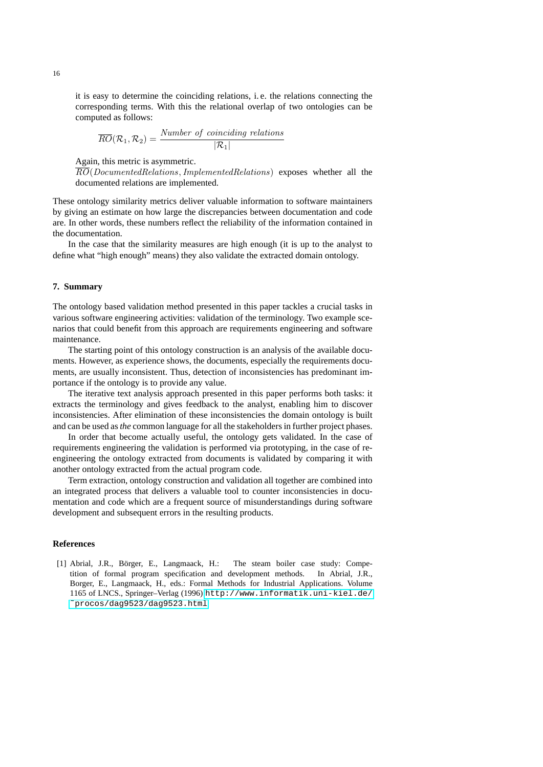it is easy to determine the coinciding relations, i. e. the relations connecting the corresponding terms. With this the relational overlap of two ontologies can be computed as follows:

$$
\overline{RO}(\mathcal{R}_1, \mathcal{R}_2) = \frac{Number\ of\ coinciding\ relations}{|\mathcal{R}_1|}
$$

Again, this metric is asymmetric.

 $\overline{RO}(Documented Relations, Implemented Relations)$  exposes whether all the documented relations are implemented.

These ontology similarity metrics deliver valuable information to software maintainers by giving an estimate on how large the discrepancies between documentation and code are. In other words, these numbers reflect the reliability of the information contained in the documentation.

In the case that the similarity measures are high enough (it is up to the analyst to define what "high enough" means) they also validate the extracted domain ontology.

# <span id="page-15-1"></span>**7. Summary**

The ontology based validation method presented in this paper tackles a crucial tasks in various software engineering activities: validation of the terminology. Two example scenarios that could benefit from this approach are requirements engineering and software maintenance.

The starting point of this ontology construction is an analysis of the available documents. However, as experience shows, the documents, especially the requirements documents, are usually inconsistent. Thus, detection of inconsistencies has predominant importance if the ontology is to provide any value.

The iterative text analysis approach presented in this paper performs both tasks: it extracts the terminology and gives feedback to the analyst, enabling him to discover inconsistencies. After elimination of these inconsistencies the domain ontology is built and can be used as*the* common language for all the stakeholders in further project phases.

In order that become actually useful, the ontology gets validated. In the case of requirements engineering the validation is performed via prototyping, in the case of reengineering the ontology extracted from documents is validated by comparing it with another ontology extracted from the actual program code.

Term extraction, ontology construction and validation all together are combined into an integrated process that delivers a valuable tool to counter inconsistencies in documentation and code which are a frequent source of misunderstandings during software development and subsequent errors in the resulting products.

### **References**

<span id="page-15-0"></span>[1] Abrial, J.R., Börger, E., Langmaack, H.: The steam boiler case study: Competition of formal program specification and development methods. In Abrial, J.R., Borger, E., Langmaack, H., eds.: Formal Methods for Industrial Applications. Volume 1165 of LNCS., Springer–Verlag (1996) [http://www.informatik.uni-kiel.de/](http://www.informatik.uni-kiel.de/~procos/dag9523/dag9523.html) [˜procos/dag9523/dag9523.html](http://www.informatik.uni-kiel.de/~procos/dag9523/dag9523.html).

16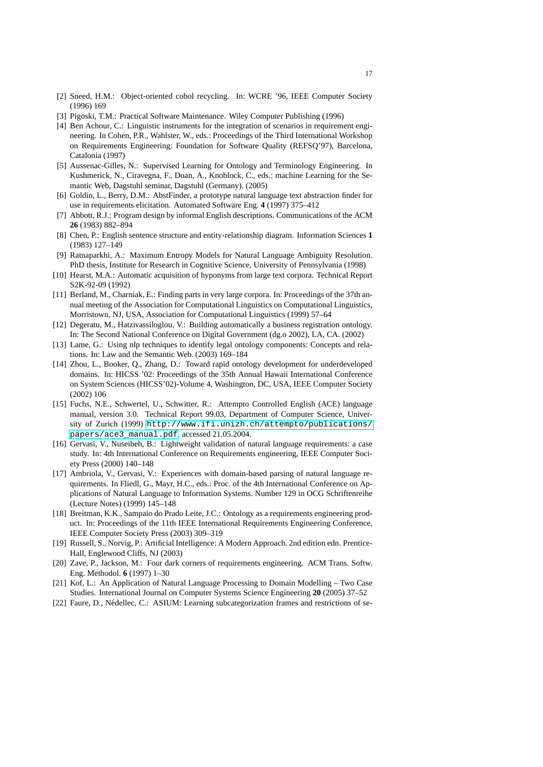- <span id="page-16-0"></span>[2] Sneed, H.M.: Object-oriented cobol recycling. In: WCRE '96, IEEE Computer Society (1996) 169
- <span id="page-16-1"></span>[3] Pigoski, T.M.: Practical Software Maintenance. Wiley Computer Publishing (1996)
- <span id="page-16-2"></span>[4] Ben Achour, C.: Linguistic instruments for the integration of scenarios in requirement engineering. In Cohen, P.R., Wahlster, W., eds.: Proceedings of the Third International Workshop on Requirements Engineering: Foundation for Software Quality (REFSQ'97), Barcelona, Catalonia (1997)
- <span id="page-16-3"></span>[5] Aussenac-Gilles, N.: Supervised Learning for Ontology and Terminology Engineering. In Kushmerick, N., Ciravegna, F., Doan, A., Knoblock, C., eds.: machine Learning for the Semantic Web, Dagstuhl seminar, Dagstuhl (Germany). (2005)
- <span id="page-16-4"></span>[6] Goldin, L., Berry, D.M.: AbstFinder, a prototype natural language text abstraction finder for use in requirements elicitation. Automated Software Eng. **4** (1997) 375–412
- <span id="page-16-5"></span>[7] Abbott, R.J.: Program design by informal English descriptions. Communications of the ACM **26** (1983) 882–894
- <span id="page-16-6"></span>[8] Chen, P.: English sentence structure and entity-relationship diagram. Information Sciences **1** (1983) 127–149
- <span id="page-16-7"></span>[9] Ratnaparkhi, A.: Maximum Entropy Models for Natural Language Ambiguity Resolution. PhD thesis, Institute for Research in Cognitive Science, University of Pennsylvania (1998)
- <span id="page-16-8"></span>[10] Hearst, M.A.: Automatic acquisition of hyponyms from large text corpora. Technical Report S2K-92-09 (1992)
- <span id="page-16-9"></span>[11] Berland, M., Charniak, E.: Finding parts in very large corpora. In: Proceedings of the 37th annual meeting of the Association for Computational Linguistics on Computational Linguistics, Morristown, NJ, USA, Association for Computational Linguistics (1999) 57–64
- <span id="page-16-10"></span>[12] Degeratu, M., Hatzivassiloglou, V.: Building automatically a business registration ontology. In: The Second National Conference on Digital Government (dg.o 2002), LA, CA. (2002)
- <span id="page-16-11"></span>[13] Lame, G.: Using nlp techniques to identify legal ontology components: Concepts and relations. In: Law and the Semantic Web. (2003) 169–184
- <span id="page-16-12"></span>[14] Zhou, L., Booker, Q., Zhang, D.: Toward rapid ontology development for underdeveloped domains. In: HICSS '02: Proceedings of the 35th Annual Hawaii International Conference on System Sciences (HICSS'02)-Volume 4, Washington, DC, USA, IEEE Computer Society (2002) 106
- <span id="page-16-13"></span>[15] Fuchs, N.E., Schwertel, U., Schwitter, R.: Attempto Controlled English (ACE) language manual, version 3.0. Technical Report 99.03, Department of Computer Science, University of Zurich (1999) [http://www.ifi.unizh.ch/attempto/publications/](http://www.ifi.unizh.ch/attempto/publications/papers/ace3_manual.pdf) [papers/ace3\\_manual.pdf](http://www.ifi.unizh.ch/attempto/publications/papers/ace3_manual.pdf), accessed 21.05.2004.
- <span id="page-16-14"></span>[16] Gervasi, V., Nuseibeh, B.: Lightweight validation of natural language requirements: a case study. In: 4th International Conference on Requirements engineering, IEEE Computer Society Press (2000) 140–148
- <span id="page-16-15"></span>[17] Ambriola, V., Gervasi, V.: Experiences with domain-based parsing of natural language requirements. In Fliedl, G., Mayr, H.C., eds.: Proc. of the 4th International Conference on Applications of Natural Language to Information Systems. Number 129 in OCG Schriftenreihe (Lecture Notes) (1999) 145–148
- <span id="page-16-16"></span>[18] Breitman, K.K., Sampaio do Prado Leite, J.C.: Ontology as a requirements engineering product. In: Proceedings of the 11th IEEE International Requirements Engineering Conference, IEEE Computer Society Press (2003) 309–319
- <span id="page-16-17"></span>[19] Russell, S., Norvig, P.: Artificial Intelligence: A Modern Approach. 2nd edition edn. Prentice-Hall, Englewood Cliffs, NJ (2003)
- <span id="page-16-18"></span>[20] Zave, P., Jackson, M.: Four dark corners of requirements engineering. ACM Trans. Softw. Eng. Methodol. **6** (1997) 1–30
- <span id="page-16-19"></span>[21] Kof, L.: An Application of Natural Language Processing to Domain Modelling – Two Case Studies. International Journal on Computer Systems Science Engineering **20** (2005) 37–52
- <span id="page-16-20"></span>[22] Faure, D., Nedellec, C.: ASIUM: Learning subcategorization frames and restrictions of se- ´